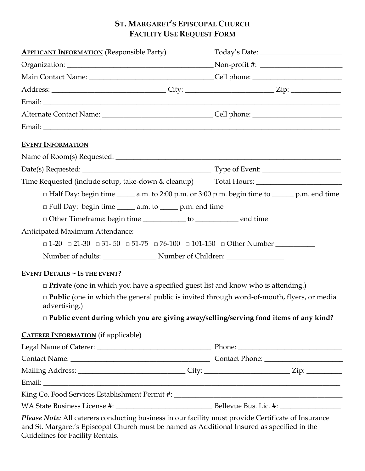# **ST. MARGARET'S EPISCOPAL CHURCH FACILITY USE REQUEST FORM**

| <b>APPLICANT INFORMATION</b> (Responsible Party)                                                                                                                                                                                       |                                                                                                         |
|----------------------------------------------------------------------------------------------------------------------------------------------------------------------------------------------------------------------------------------|---------------------------------------------------------------------------------------------------------|
|                                                                                                                                                                                                                                        |                                                                                                         |
|                                                                                                                                                                                                                                        |                                                                                                         |
|                                                                                                                                                                                                                                        |                                                                                                         |
|                                                                                                                                                                                                                                        | <u> 1980 - Johann John Stein, marwolaethau (b. 1980)</u>                                                |
|                                                                                                                                                                                                                                        |                                                                                                         |
|                                                                                                                                                                                                                                        |                                                                                                         |
| <b>EVENT INFORMATION</b>                                                                                                                                                                                                               |                                                                                                         |
|                                                                                                                                                                                                                                        |                                                                                                         |
|                                                                                                                                                                                                                                        |                                                                                                         |
| Time Requested (include setup, take-down & cleanup) Total Hours: ________________                                                                                                                                                      |                                                                                                         |
|                                                                                                                                                                                                                                        | $\Box$ Half Day: begin time _______ a.m. to 2:00 p.m. or 3:00 p.m. begin time to ________ p.m. end time |
| $\Box$ Full Day: begin time $\_\_\_\_\$ a.m. to $\_\_\_\$ p.m. end time                                                                                                                                                                |                                                                                                         |
| □ Other Timeframe: begin time ____________ to ______________ end time                                                                                                                                                                  |                                                                                                         |
| Anticipated Maximum Attendance:                                                                                                                                                                                                        |                                                                                                         |
| $\Box$ 1-20 $\Box$ 21-30 $\Box$ 31-50 $\Box$ 51-75 $\Box$ 76-100 $\Box$ 101-150 $\Box$ Other Number                                                                                                                                    |                                                                                                         |
|                                                                                                                                                                                                                                        |                                                                                                         |
| EVENT DETAILS $\sim$ IS THE EVENT?                                                                                                                                                                                                     |                                                                                                         |
| $\Box$ <b>Private</b> (one in which you have a specified guest list and know who is attending.)                                                                                                                                        |                                                                                                         |
| $\Box$ <b>Public</b> (one in which the general public is invited through word-of-mouth, flyers, or media<br>advertising.)                                                                                                              |                                                                                                         |
| $\Box$ Public event during which you are giving away/selling/serving food items of any kind?                                                                                                                                           |                                                                                                         |
| <b>CATERER INFORMATION</b> (if applicable)                                                                                                                                                                                             |                                                                                                         |
|                                                                                                                                                                                                                                        |                                                                                                         |
|                                                                                                                                                                                                                                        |                                                                                                         |
| Mailing Address: _________________________________City: ________________________Zip: _______________                                                                                                                                   |                                                                                                         |
|                                                                                                                                                                                                                                        | the control of the control of the control of the control of the control of the control of               |
|                                                                                                                                                                                                                                        |                                                                                                         |
|                                                                                                                                                                                                                                        |                                                                                                         |
| Please Note: All caterers conducting business in our facility must provide Certificate of Insurance<br>and St. Margaret's Episcopal Church must be named as Additional Insured as specified in the<br>Guidelines for Facility Rentals. |                                                                                                         |